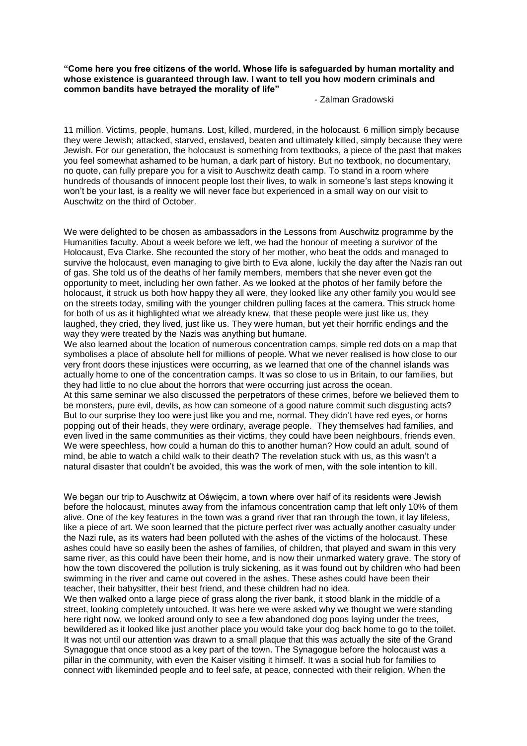**"Come here you free citizens of the world. Whose life is safeguarded by human mortality and whose existence is guaranteed through law. I want to tell you how modern criminals and common bandits have betrayed the morality of life"**

- Zalman Gradowski

11 million. Victims, people, humans. Lost, killed, murdered, in the holocaust. 6 million simply because they were Jewish; attacked, starved, enslaved, beaten and ultimately killed, simply because they were Jewish. For our generation, the holocaust is something from textbooks, a piece of the past that makes you feel somewhat ashamed to be human, a dark part of history. But no textbook, no documentary, no quote, can fully prepare you for a visit to Auschwitz death camp. To stand in a room where hundreds of thousands of innocent people lost their lives, to walk in someone's last steps knowing it won't be your last, is a reality we will never face but experienced in a small way on our visit to Auschwitz on the third of October.

We were delighted to be chosen as ambassadors in the Lessons from Auschwitz programme by the Humanities faculty. About a week before we left, we had the honour of meeting a survivor of the Holocaust, Eva Clarke. She recounted the story of her mother, who beat the odds and managed to survive the holocaust, even managing to give birth to Eva alone, luckily the day after the Nazis ran out of gas. She told us of the deaths of her family members, members that she never even got the opportunity to meet, including her own father. As we looked at the photos of her family before the holocaust, it struck us both how happy they all were, they looked like any other family you would see on the streets today, smiling with the younger children pulling faces at the camera. This struck home for both of us as it highlighted what we already knew, that these people were just like us, they laughed, they cried, they lived, just like us. They were human, but yet their horrific endings and the way they were treated by the Nazis was anything but humane.

We also learned about the location of numerous concentration camps, simple red dots on a map that symbolises a place of absolute hell for millions of people. What we never realised is how close to our very front doors these injustices were occurring, as we learned that one of the channel islands was actually home to one of the concentration camps. It was so close to us in Britain, to our families, but they had little to no clue about the horrors that were occurring just across the ocean. At this same seminar we also discussed the perpetrators of these crimes, before we believed them to be monsters, pure evil, devils, as how can someone of a good nature commit such disgusting acts? But to our surprise they too were just like you and me, normal. They didn't have red eyes, or horns popping out of their heads, they were ordinary, average people. They themselves had families, and even lived in the same communities as their victims, they could have been neighbours, friends even. We were speechless, how could a human do this to another human? How could an adult, sound of mind, be able to watch a child walk to their death? The revelation stuck with us, as this wasn't a natural disaster that couldn't be avoided, this was the work of men, with the sole intention to kill.

We began our trip to Auschwitz at Oświęcim, a town where over half of its residents were Jewish before the holocaust, minutes away from the infamous concentration camp that left only 10% of them alive. One of the key features in the town was a grand river that ran through the town, it lay lifeless, like a piece of art. We soon learned that the picture perfect river was actually another casualty under the Nazi rule, as its waters had been polluted with the ashes of the victims of the holocaust. These ashes could have so easily been the ashes of families, of children, that played and swam in this very same river, as this could have been their home, and is now their unmarked watery grave. The story of how the town discovered the pollution is truly sickening, as it was found out by children who had been swimming in the river and came out covered in the ashes. These ashes could have been their teacher, their babysitter, their best friend, and these children had no idea.

We then walked onto a large piece of grass along the river bank, it stood blank in the middle of a street, looking completely untouched. It was here we were asked why we thought we were standing here right now, we looked around only to see a few abandoned dog poos laying under the trees, bewildered as it looked like just another place you would take your dog back home to go to the toilet. It was not until our attention was drawn to a small plaque that this was actually the site of the Grand Synagogue that once stood as a key part of the town. The Synagogue before the holocaust was a pillar in the community, with even the Kaiser visiting it himself. It was a social hub for families to connect with likeminded people and to feel safe, at peace, connected with their religion. When the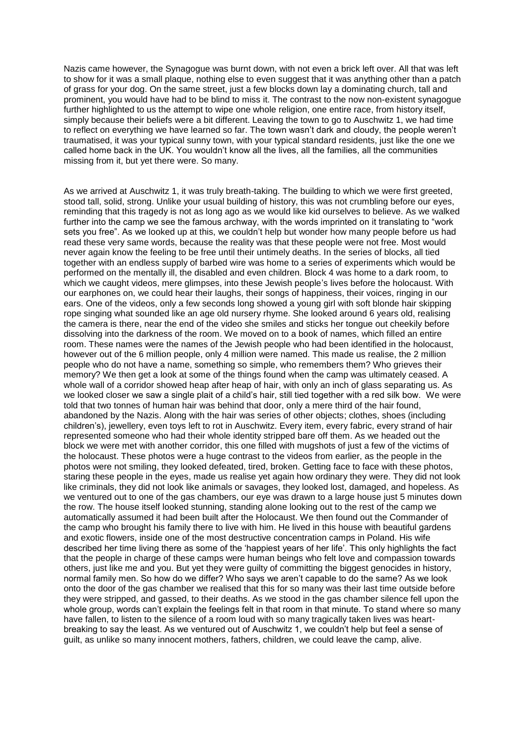Nazis came however, the Synagogue was burnt down, with not even a brick left over. All that was left to show for it was a small plaque, nothing else to even suggest that it was anything other than a patch of grass for your dog. On the same street, just a few blocks down lay a dominating church, tall and prominent, you would have had to be blind to miss it. The contrast to the now non-existent synagogue further highlighted to us the attempt to wipe one whole religion, one entire race, from history itself, simply because their beliefs were a bit different. Leaving the town to go to Auschwitz 1, we had time to reflect on everything we have learned so far. The town wasn't dark and cloudy, the people weren't traumatised, it was your typical sunny town, with your typical standard residents, just like the one we called home back in the UK. You wouldn't know all the lives, all the families, all the communities missing from it, but yet there were. So many.

As we arrived at Auschwitz 1, it was truly breath-taking. The building to which we were first greeted, stood tall, solid, strong. Unlike your usual building of history, this was not crumbling before our eyes, reminding that this tragedy is not as long ago as we would like kid ourselves to believe. As we walked further into the camp we see the famous archway, with the words imprinted on it translating to "work sets you free". As we looked up at this, we couldn't help but wonder how many people before us had read these very same words, because the reality was that these people were not free. Most would never again know the feeling to be free until their untimely deaths. In the series of blocks, all tied together with an endless supply of barbed wire was home to a series of experiments which would be performed on the mentally ill, the disabled and even children. Block 4 was home to a dark room, to which we caught videos, mere glimpses, into these Jewish people's lives before the holocaust. With our earphones on, we could hear their laughs, their songs of happiness, their voices, ringing in our ears. One of the videos, only a few seconds long showed a young girl with soft blonde hair skipping rope singing what sounded like an age old nursery rhyme. She looked around 6 years old, realising the camera is there, near the end of the video she smiles and sticks her tongue out cheekily before dissolving into the darkness of the room. We moved on to a book of names, which filled an entire room. These names were the names of the Jewish people who had been identified in the holocaust, however out of the 6 million people, only 4 million were named. This made us realise, the 2 million people who do not have a name, something so simple, who remembers them? Who grieves their memory? We then get a look at some of the things found when the camp was ultimately ceased. A whole wall of a corridor showed heap after heap of hair, with only an inch of glass separating us. As we looked closer we saw a single plait of a child's hair, still tied together with a red silk bow. We were told that two tonnes of human hair was behind that door, only a mere third of the hair found, abandoned by the Nazis. Along with the hair was series of other objects; clothes, shoes (including children's), jewellery, even toys left to rot in Auschwitz. Every item, every fabric, every strand of hair represented someone who had their whole identity stripped bare off them. As we headed out the block we were met with another corridor, this one filled with mugshots of just a few of the victims of the holocaust. These photos were a huge contrast to the videos from earlier, as the people in the photos were not smiling, they looked defeated, tired, broken. Getting face to face with these photos, staring these people in the eyes, made us realise yet again how ordinary they were. They did not look like criminals, they did not look like animals or savages, they looked lost, damaged, and hopeless. As we ventured out to one of the gas chambers, our eye was drawn to a large house just 5 minutes down the row. The house itself looked stunning, standing alone looking out to the rest of the camp we automatically assumed it had been built after the Holocaust. We then found out the Commander of the camp who brought his family there to live with him. He lived in this house with beautiful gardens and exotic flowers, inside one of the most destructive concentration camps in Poland. His wife described her time living there as some of the 'happiest years of her life'. This only highlights the fact that the people in charge of these camps were human beings who felt love and compassion towards others, just like me and you. But yet they were guilty of committing the biggest genocides in history, normal family men. So how do we differ? Who says we aren't capable to do the same? As we look onto the door of the gas chamber we realised that this for so many was their last time outside before they were stripped, and gassed, to their deaths. As we stood in the gas chamber silence fell upon the whole group, words can't explain the feelings felt in that room in that minute. To stand where so many have fallen, to listen to the silence of a room loud with so many tragically taken lives was heartbreaking to say the least. As we ventured out of Auschwitz 1, we couldn't help but feel a sense of guilt, as unlike so many innocent mothers, fathers, children, we could leave the camp, alive.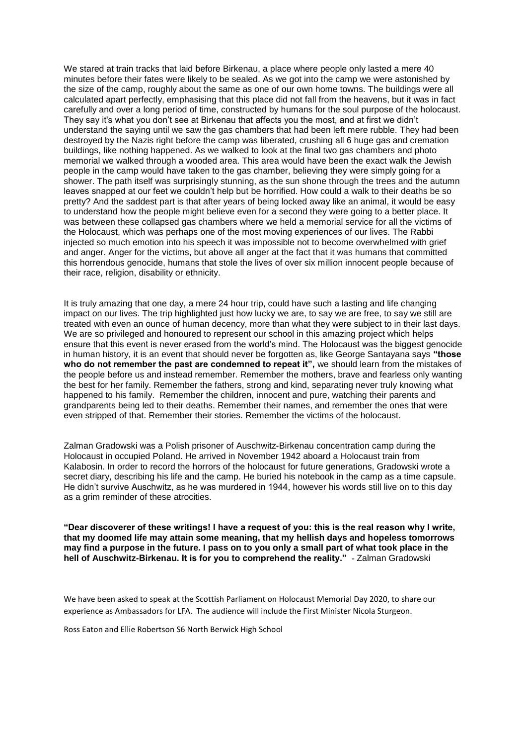We stared at train tracks that laid before Birkenau, a place where people only lasted a mere 40 minutes before their fates were likely to be sealed. As we got into the camp we were astonished by the size of the camp, roughly about the same as one of our own home towns. The buildings were all calculated apart perfectly, emphasising that this place did not fall from the heavens, but it was in fact carefully and over a long period of time, constructed by humans for the soul purpose of the holocaust. They say it's what you don't see at Birkenau that affects you the most, and at first we didn't understand the saying until we saw the gas chambers that had been left mere rubble. They had been destroyed by the Nazis right before the camp was liberated, crushing all 6 huge gas and cremation buildings, like nothing happened. As we walked to look at the final two gas chambers and photo memorial we walked through a wooded area. This area would have been the exact walk the Jewish people in the camp would have taken to the gas chamber, believing they were simply going for a shower. The path itself was surprisingly stunning, as the sun shone through the trees and the autumn leaves snapped at our feet we couldn't help but be horrified. How could a walk to their deaths be so pretty? And the saddest part is that after years of being locked away like an animal, it would be easy to understand how the people might believe even for a second they were going to a better place. It was between these collapsed gas chambers where we held a memorial service for all the victims of the Holocaust, which was perhaps one of the most moving experiences of our lives. The Rabbi injected so much emotion into his speech it was impossible not to become overwhelmed with grief and anger. Anger for the victims, but above all anger at the fact that it was humans that committed this horrendous genocide, humans that stole the lives of over six million innocent people because of their race, religion, disability or ethnicity.

It is truly amazing that one day, a mere 24 hour trip, could have such a lasting and life changing impact on our lives. The trip highlighted just how lucky we are, to say we are free, to say we still are treated with even an ounce of human decency, more than what they were subject to in their last days. We are so privileged and honoured to represent our school in this amazing project which helps ensure that this event is never erased from the world's mind. The Holocaust was the biggest genocide in human history, it is an event that should never be forgotten as, like George Santayana says **"those who do not remember the past are condemned to repeat it",** we should learn from the mistakes of the people before us and instead remember. Remember the mothers, brave and fearless only wanting the best for her family. Remember the fathers, strong and kind, separating never truly knowing what happened to his family. Remember the children, innocent and pure, watching their parents and grandparents being led to their deaths. Remember their names, and remember the ones that were even stripped of that. Remember their stories. Remember the victims of the holocaust.

Zalman Gradowski was a Polish prisoner of [Auschwitz-Birkenau](https://en.wikipedia.org/wiki/Auschwitz-Birkenau) concentration camp during [the](https://en.wikipedia.org/wiki/The_Holocaust_in_occupied_Poland)  [Holocaust in occupied](https://en.wikipedia.org/wiki/The_Holocaust_in_occupied_Poland) Poland. He arrived in November 1942 aboard a [Holocaust train](https://en.wikipedia.org/wiki/Holocaust_train) from Kalabosin. In order to record the horrors of the holocaust for future generations, Gradowski wrote a secret diary, describing his life and [the camp.](https://en.wikipedia.org/wiki/Extermination_camp) He buried his notebook in the camp as a time capsule. He didn't survive Auschwitz, as he was murdered in 1944, however his words still live on to this day as a grim reminder of these atrocities.

**"Dear discoverer of these writings! I have a request of you: this is the real reason why I write, that my doomed life may attain some meaning, that my hellish days and hopeless tomorrows may find a purpose in the future. I pass on to you only a small part of what took place in the hell of Auschwitz-Birkenau. It is for you to comprehend the reality."** - Zalman Gradowski

We have been asked to speak at the Scottish Parliament on Holocaust Memorial Day 2020, to share our experience as Ambassadors for LFA. The audience will include the First Minister Nicola Sturgeon.

Ross Eaton and Ellie Robertson S6 North Berwick High School